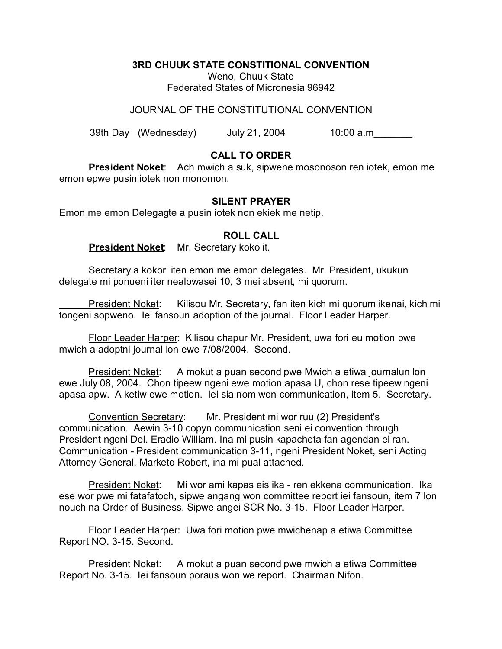**3RD CHUUK STATE CONSTITIONAL CONVENTION**

Weno, Chuuk State Federated States of Micronesia 96942

JOURNAL OF THE CONSTITUTIONAL CONVENTION

39th Day (Wednesday) July 21, 2004 10:00 a.m\_\_\_\_\_\_\_

## **CALL TO ORDER**

**President Noket**: Ach mwich a suk, sipwene mosonoson ren iotek, emon me emon epwe pusin iotek non monomon.

## **SILENT PRAYER**

Emon me emon Delegagte a pusin iotek non ekiek me netip.

## **ROLL CALL**

**President Noket**: Mr. Secretary koko it.

Secretary a kokori iten emon me emon delegates. Mr. President, ukukun delegate mi ponueni iter nealowasei 10, 3 mei absent, mi quorum.

President Noket: Kilisou Mr. Secretary, fan iten kich mi quorum ikenai, kich mi tongeni sopweno. Iei fansoun adoption of the journal. Floor Leader Harper.

Floor Leader Harper: Kilisou chapur Mr. President, uwa fori eu motion pwe mwich a adoptni journal lon ewe 7/08/2004. Second.

President Noket: A mokut a puan second pwe Mwich a etiwa journalun lon ewe July 08, 2004. Chon tipeew ngeni ewe motion apasa U, chon rese tipeew ngeni apasa apw. A ketiw ewe motion. Iei sia nom won communication, item 5. Secretary.

Convention Secretary: Mr. President mi wor ruu (2) President's communication. Aewin 3-10 copyn communication seni ei convention through President ngeni Del. Eradio William. Ina mi pusin kapacheta fan agendan ei ran. Communication - President communication 3-11, ngeni President Noket, seni Acting Attorney General, Marketo Robert, ina mi pual attached.

President Noket: Mi wor ami kapas eis ika - ren ekkena communication. Ika ese wor pwe mi fatafatoch, sipwe angang won committee report iei fansoun, item 7 lon nouch na Order of Business. Sipwe angei SCR No. 3-15. Floor Leader Harper.

Floor Leader Harper: Uwa fori motion pwe mwichenap a etiwa Committee Report NO. 3-15. Second.

President Noket: A mokut a puan second pwe mwich a etiwa Committee Report No. 3-15. Iei fansoun poraus won we report. Chairman Nifon.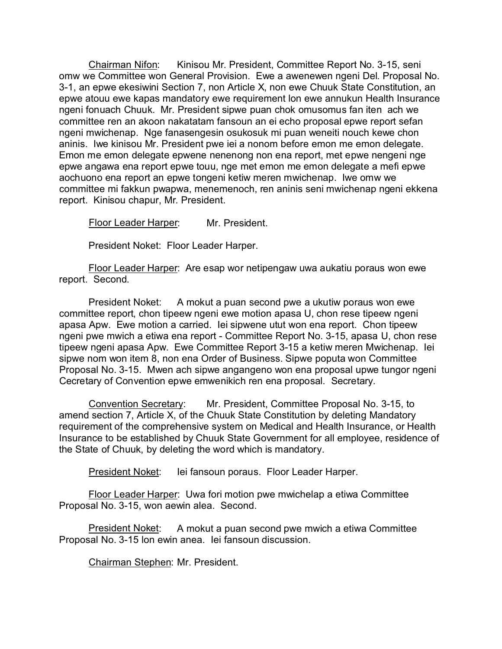Chairman Nifon: Kinisou Mr. President, Committee Report No. 3-15, seni omw we Committee won General Provision. Ewe a awenewen ngeni Del. Proposal No. 3-1, an epwe ekesiwini Section 7, non Article X, non ewe Chuuk State Constitution, an epwe atouu ewe kapas mandatory ewe requirement lon ewe annukun Health Insurance ngeni fonuach Chuuk. Mr. President sipwe puan chok omusomus fan iten ach we committee ren an akoon nakatatam fansoun an ei echo proposal epwe report sefan ngeni mwichenap. Nge fanasengesin osukosuk mi puan weneiti nouch kewe chon aninis. Iwe kinisou Mr. President pwe iei a nonom before emon me emon delegate. Emon me emon delegate epwene nenenong non ena report, met epwe nengeni nge epwe angawa ena report epwe touu, nge met emon me emon delegate a mefi epwe aochuono ena report an epwe tongeni ketiw meren mwichenap. Iwe omw we committee mi fakkun pwapwa, menemenoch, ren aninis seni mwichenap ngeni ekkena report. Kinisou chapur, Mr. President.

Floor Leader Harper: Mr. President.

President Noket: Floor Leader Harper.

Floor Leader Harper: Are esap wor netipengaw uwa aukatiu poraus won ewe report. Second.

President Noket: A mokut a puan second pwe a ukutiw poraus won ewe committee report, chon tipeew ngeni ewe motion apasa U, chon rese tipeew ngeni apasa Apw. Ewe motion a carried. Iei sipwene utut won ena report. Chon tipeew ngeni pwe mwich a etiwa ena report - Committee Report No. 3-15, apasa U, chon rese tipeew ngeni apasa Apw. Ewe Committee Report 3-15 a ketiw meren Mwichenap. Iei sipwe nom won item 8, non ena Order of Business. Sipwe poputa won Committee Proposal No. 3-15. Mwen ach sipwe angangeno won ena proposal upwe tungor ngeni Cecretary of Convention epwe emwenikich ren ena proposal. Secretary.

Convention Secretary: Mr. President, Committee Proposal No. 3-15, to amend section 7, Article X, of the Chuuk State Constitution by deleting Mandatory requirement of the comprehensive system on Medical and Health Insurance, or Health Insurance to be established by Chuuk State Government for all employee, residence of the State of Chuuk, by deleting the word which is mandatory.

President Noket: Iei fansoun poraus. Floor Leader Harper.

Floor Leader Harper: Uwa fori motion pwe mwichelap a etiwa Committee Proposal No. 3-15, won aewin alea. Second.

President Noket: A mokut a puan second pwe mwich a etiwa Committee Proposal No. 3-15 lon ewin anea. Iei fansoun discussion.

Chairman Stephen: Mr. President.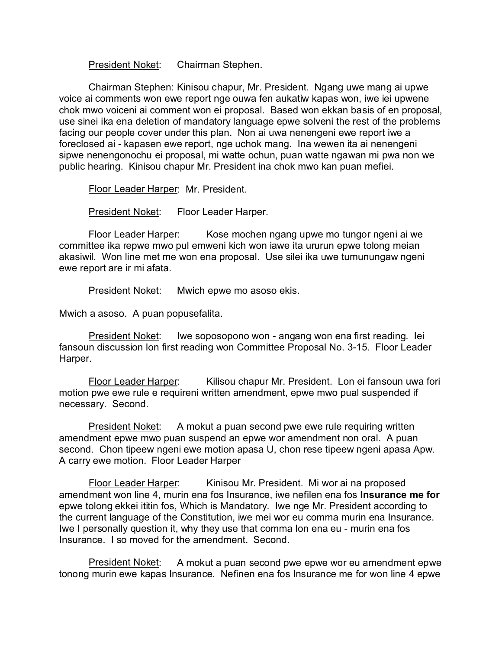President Noket: Chairman Stephen.

Chairman Stephen: Kinisou chapur, Mr. President. Ngang uwe mang ai upwe voice ai comments won ewe report nge ouwa fen aukatiw kapas won, iwe iei upwene chok mwo voiceni ai comment won ei proposal. Based won ekkan basis of en proposal, use sinei ika ena deletion of mandatory language epwe solveni the rest of the problems facing our people cover under this plan. Non ai uwa nenengeni ewe report iwe a foreclosed ai - kapasen ewe report, nge uchok mang. Ina wewen ita ai nenengeni sipwe nenengonochu ei proposal, mi watte ochun, puan watte ngawan mi pwa non we public hearing. Kinisou chapur Mr. President ina chok mwo kan puan mefiei.

Floor Leader Harper: Mr. President.

President Noket: Floor Leader Harper.

Floor Leader Harper: Kose mochen ngang upwe mo tungor ngeni ai we committee ika repwe mwo pul emweni kich won iawe ita ururun epwe tolong meian akasiwil. Won line met me won ena proposal. Use silei ika uwe tumunungaw ngeni ewe report are ir mi afata.

President Noket: Mwich epwe mo asoso ekis.

Mwich a asoso. A puan popusefalita.

President Noket: Iwe soposopono won - angang won ena first reading. lei fansoun discussion lon first reading won Committee Proposal No. 3-15. Floor Leader Harper.

Floor Leader Harper: Kilisou chapur Mr. President. Lon ei fansoun uwa fori motion pwe ewe rule e requireni written amendment, epwe mwo pual suspended if necessary. Second.

President Noket: A mokut a puan second pwe ewe rule requiring written amendment epwe mwo puan suspend an epwe wor amendment non oral. A puan second. Chon tipeew ngeni ewe motion apasa U, chon rese tipeew ngeni apasa Apw. A carry ewe motion. Floor Leader Harper

Floor Leader Harper: Kinisou Mr. President. Mi wor ai na proposed amendment won line 4, murin ena fos Insurance, iwe nefilen ena fos **Insurance me for** epwe tolong ekkei ititin fos, Which is Mandatory. Iwe nge Mr. President according to the current language of the Constitution, iwe mei wor eu comma murin ena Insurance. Iwe I personally question it, why they use that comma lon ena eu - murin ena fos Insurance. I so moved for the amendment. Second.

President Noket: A mokut a puan second pwe epwe wor eu amendment epwe tonong murin ewe kapas Insurance. Nefinen ena fos Insurance me for won line 4 epwe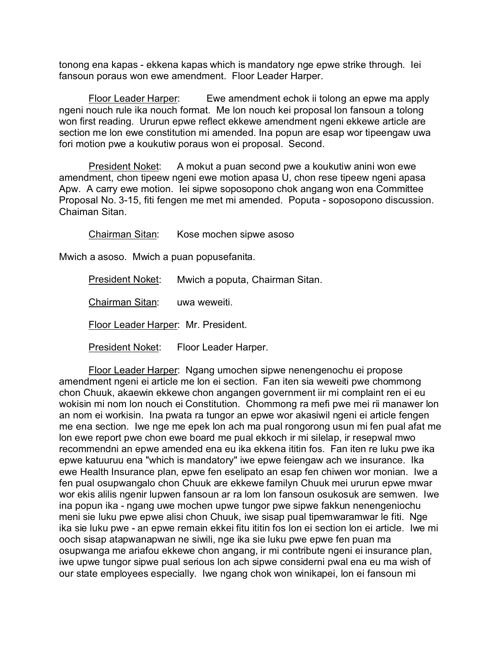tonong ena kapas - ekkena kapas which is mandatory nge epwe strike through. Iei fansoun poraus won ewe amendment. Floor Leader Harper.

Floor Leader Harper: Ewe amendment echok ii tolong an epwe ma apply ngeni nouch rule ika nouch format. Me lon nouch kei proposal lon fansoun a tolong won first reading. Ururun epwe reflect ekkewe amendment ngeni ekkewe article are section me lon ewe constitution mi amended. Ina popun are esap wor tipeengaw uwa fori motion pwe a koukutiw poraus won ei proposal. Second.

President Noket: A mokut a puan second pwe a koukutiw anini won ewe amendment, chon tipeew ngeni ewe motion apasa U, chon rese tipeew ngeni apasa Apw. A carry ewe motion. Iei sipwe soposopono chok angang won ena Committee Proposal No. 3-15, fiti fengen me met mi amended. Poputa - soposopono discussion. Chaiman Sitan.

Chairman Sitan: Kose mochen sipwe asoso

Mwich a asoso. Mwich a puan popusefanita.

President Noket: Mwich a poputa, Chairman Sitan. Chairman Sitan: uwa weweiti. Floor Leader Harper: Mr. President.

President Noket: Floor Leader Harper.

Floor Leader Harper: Ngang umochen sipwe nenengenochu ei propose amendment ngeni ei article me lon ei section. Fan iten sia weweiti pwe chommong chon Chuuk, akaewin ekkewe chon angangen government iir mi complaint ren ei eu wokisin mi nom lon nouch ei Constitution. Chommong ra mefi pwe mei rii manawer lon an nom ei workisin. Ina pwata ra tungor an epwe wor akasiwil ngeni ei article fengen me ena section. Iwe nge me epek lon ach ma pual rongorong usun mi fen pual afat me lon ewe report pwe chon ewe board me pual ekkoch ir mi silelap, ir resepwal mwo recommendni an epwe amended ena eu ika ekkena ititin fos. Fan iten re luku pwe ika epwe katuuruu ena "which is mandatory" iwe epwe feiengaw ach we insurance. Ika ewe Health Insurance plan, epwe fen eselipato an esap fen chiwen wor monian. Iwe a fen pual osupwangalo chon Chuuk are ekkewe familyn Chuuk mei ururun epwe mwar wor ekis alilis ngenir lupwen fansoun ar ra lom lon fansoun osukosuk are semwen. Iwe ina popun ika - ngang uwe mochen upwe tungor pwe sipwe fakkun nenengeniochu meni sie luku pwe epwe alisi chon Chuuk, iwe sisap pual tipemwaramwar le fiti. Nge ika sie luku pwe - an epwe remain ekkei fitu ititin fos lon ei section lon ei article. Iwe mi ooch sisap atapwanapwan ne siwili, nge ika sie luku pwe epwe fen puan ma osupwanga me ariafou ekkewe chon angang, ir mi contribute ngeni ei insurance plan, iwe upwe tungor sipwe pual serious lon ach sipwe considerni pwal ena eu ma wish of our state employees especially. Iwe ngang chok won winikapei, lon ei fansoun mi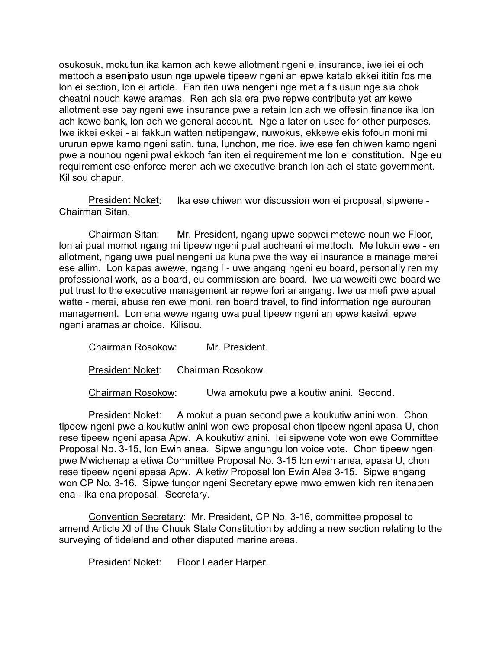osukosuk, mokutun ika kamon ach kewe allotment ngeni ei insurance, iwe iei ei och mettoch a esenipato usun nge upwele tipeew ngeni an epwe katalo ekkei ititin fos me lon ei section, lon ei article. Fan iten uwa nengeni nge met a fis usun nge sia chok cheatni nouch kewe aramas. Ren ach sia era pwe repwe contribute yet arr kewe allotment ese pay ngeni ewe insurance pwe a retain lon ach we offesin finance ika lon ach kewe bank, lon ach we general account. Nge a later on used for other purposes. Iwe ikkei ekkei - ai fakkun watten netipengaw, nuwokus, ekkewe ekis fofoun moni mi ururun epwe kamo ngeni satin, tuna, lunchon, me rice, iwe ese fen chiwen kamo ngeni pwe a nounou ngeni pwal ekkoch fan iten ei requirement me lon ei constitution. Nge eu requirement ese enforce meren ach we executive branch lon ach ei state government. Kilisou chapur.

President Noket: Ika ese chiwen wor discussion won ei proposal, sipwene -Chairman Sitan.

Chairman Sitan: Mr. President, ngang upwe sopwei metewe noun we Floor, lon ai pual momot ngang mi tipeew ngeni pual aucheani ei mettoch. Me lukun ewe - en allotment, ngang uwa pual nengeni ua kuna pwe the way ei insurance e manage merei ese allim. Lon kapas awewe, ngang I - uwe angang ngeni eu board, personally ren my professional work, as a board, eu commission are board. Iwe ua weweiti ewe board we put trust to the executive management ar repwe fori ar angang. Iwe ua mefi pwe apual watte - merei, abuse ren ewe moni, ren board travel, to find information nge aurouran management. Lon ena wewe ngang uwa pual tipeew ngeni an epwe kasiwil epwe ngeni aramas ar choice. Kilisou.

Chairman Rosokow: Mr. President. President Noket: Chairman Rosokow. Chairman Rosokow: Uwa amokutu pwe a koutiw anini. Second.

President Noket: A mokut a puan second pwe a koukutiw anini won. Chon tipeew ngeni pwe a koukutiw anini won ewe proposal chon tipeew ngeni apasa U, chon rese tipeew ngeni apasa Apw. A koukutiw anini. Iei sipwene vote won ewe Committee Proposal No. 3-15, lon Ewin anea. Sipwe angungu lon voice vote. Chon tipeew ngeni pwe Mwichenap a etiwa Committee Proposal No. 3-15 lon ewin anea, apasa U, chon rese tipeew ngeni apasa Apw. A ketiw Proposal lon Ewin Alea 3-15. Sipwe angang won CP No. 3-16. Sipwe tungor ngeni Secretary epwe mwo emwenikich ren itenapen ena - ika ena proposal. Secretary.

Convention Secretary: Mr. President, CP No. 3-16, committee proposal to amend Article XI of the Chuuk State Constitution by adding a new section relating to the surveying of tideland and other disputed marine areas.

President Noket: Floor Leader Harper.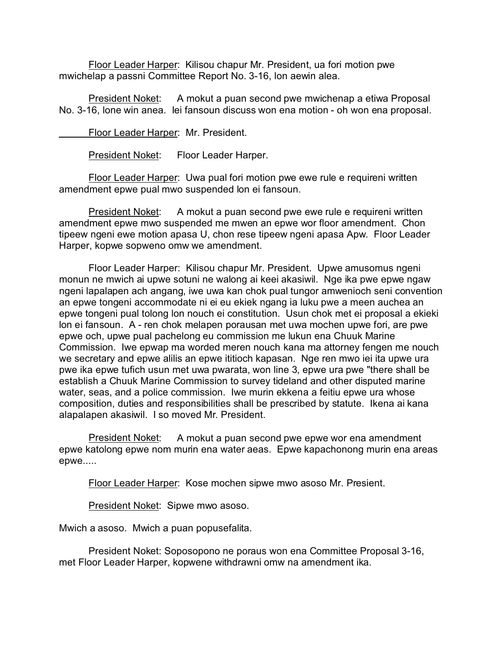Floor Leader Harper: Kilisou chapur Mr. President, ua fori motion pwe mwichelap a passni Committee Report No. 3-16, lon aewin alea.

President Noket: A mokut a puan second pwe mwichenap a etiwa Proposal No. 3-16, lone win anea. Iei fansoun discuss won ena motion - oh won ena proposal.

Floor Leader Harper: Mr. President.

President Noket: Floor Leader Harper.

Floor Leader Harper: Uwa pual fori motion pwe ewe rule e requireni written amendment epwe pual mwo suspended lon ei fansoun.

President Noket: A mokut a puan second pwe ewe rule e requireni written amendment epwe mwo suspended me mwen an epwe wor floor amendment. Chon tipeew ngeni ewe motion apasa U, chon rese tipeew ngeni apasa Apw. Floor Leader Harper, kopwe sopweno omw we amendment.

Floor Leader Harper: Kilisou chapur Mr. President. Upwe amusomus ngeni monun ne mwich ai upwe sotuni ne walong ai keei akasiwil. Nge ika pwe epwe ngaw ngeni lapalapen ach angang, iwe uwa kan chok pual tungor amwenioch seni convention an epwe tongeni accommodate ni ei eu ekiek ngang ia luku pwe a meen auchea an epwe tongeni pual tolong lon nouch ei constitution. Usun chok met ei proposal a ekieki lon ei fansoun. A - ren chok melapen porausan met uwa mochen upwe fori, are pwe epwe och, upwe pual pachelong eu commission me lukun ena Chuuk Marine Commission. Iwe epwap ma worded meren nouch kana ma attorney fengen me nouch we secretary and epwe alilis an epwe ititioch kapasan. Nge ren mwo iei ita upwe ura pwe ika epwe tufich usun met uwa pwarata, won line 3, epwe ura pwe "there shall be establish a Chuuk Marine Commission to survey tideland and other disputed marine water, seas, and a police commission. Iwe murin ekkena a feitiu epwe ura whose composition, duties and responsibilities shall be prescribed by statute. Ikena ai kana alapalapen akasiwil. I so moved Mr. President.

President Noket: A mokut a puan second pwe epwe wor ena amendment epwe katolong epwe nom murin ena water aeas. Epwe kapachonong murin ena areas epwe.....

Floor Leader Harper: Kose mochen sipwe mwo asoso Mr. Presient.

President Noket: Sipwe mwo asoso.

Mwich a asoso. Mwich a puan popusefalita.

President Noket: Soposopono ne poraus won ena Committee Proposal 3-16, met Floor Leader Harper, kopwene withdrawni omw na amendment ika.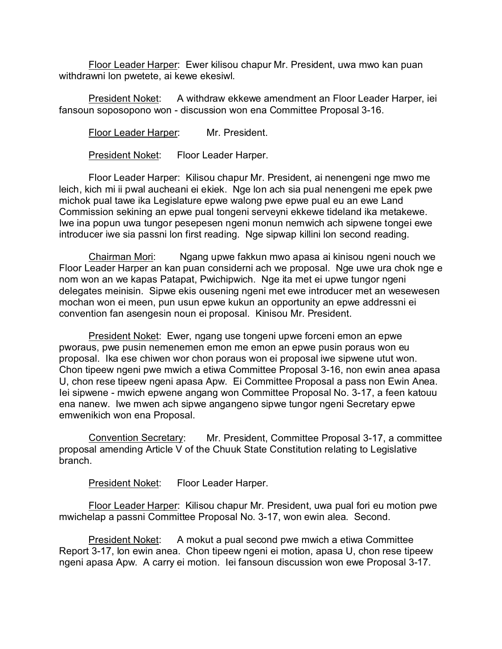Floor Leader Harper: Ewer kilisou chapur Mr. President, uwa mwo kan puan withdrawni lon pwetete, ai kewe ekesiwl.

President Noket: A withdraw ekkewe amendment an Floor Leader Harper, iei fansoun soposopono won - discussion won ena Committee Proposal 3-16.

Floor Leader Harper: Mr. President.

President Noket: Floor Leader Harper.

Floor Leader Harper: Kilisou chapur Mr. President, ai nenengeni nge mwo me leich, kich mi ii pwal aucheani ei ekiek. Nge lon ach sia pual nenengeni me epek pwe michok pual tawe ika Legislature epwe walong pwe epwe pual eu an ewe Land Commission sekining an epwe pual tongeni serveyni ekkewe tideland ika metakewe. Iwe ina popun uwa tungor pesepesen ngeni monun nemwich ach sipwene tongei ewe introducer iwe sia passni lon first reading. Nge sipwap killini lon second reading.

Chairman Mori: Ngang upwe fakkun mwo apasa ai kinisou ngeni nouch we Floor Leader Harper an kan puan considerni ach we proposal. Nge uwe ura chok nge e nom won an we kapas Patapat, Pwichipwich. Nge ita met ei upwe tungor ngeni delegates meinisin. Sipwe ekis ousening ngeni met ewe introducer met an wesewesen mochan won ei meen, pun usun epwe kukun an opportunity an epwe addressni ei convention fan asengesin noun ei proposal. Kinisou Mr. President.

President Noket: Ewer, ngang use tongeni upwe forceni emon an epwe pworaus, pwe pusin nemenemen emon me emon an epwe pusin poraus won eu proposal. Ika ese chiwen wor chon poraus won ei proposal iwe sipwene utut won. Chon tipeew ngeni pwe mwich a etiwa Committee Proposal 3-16, non ewin anea apasa U, chon rese tipeew ngeni apasa Apw. Ei Committee Proposal a pass non Ewin Anea. Iei sipwene - mwich epwene angang won Committee Proposal No. 3-17, a feen katouu ena nanew. Iwe mwen ach sipwe angangeno sipwe tungor ngeni Secretary epwe emwenikich won ena Proposal.

Convention Secretary: Mr. President, Committee Proposal 3-17, a committee proposal amending Article V of the Chuuk State Constitution relating to Legislative branch.

President Noket: Floor Leader Harper.

Floor Leader Harper: Kilisou chapur Mr. President, uwa pual fori eu motion pwe mwichelap a passni Committee Proposal No. 3-17, won ewin alea. Second.

President Noket: A mokut a pual second pwe mwich a etiwa Committee Report 3-17, lon ewin anea. Chon tipeew ngeni ei motion, apasa U, chon rese tipeew ngeni apasa Apw. A carry ei motion. Iei fansoun discussion won ewe Proposal 3-17.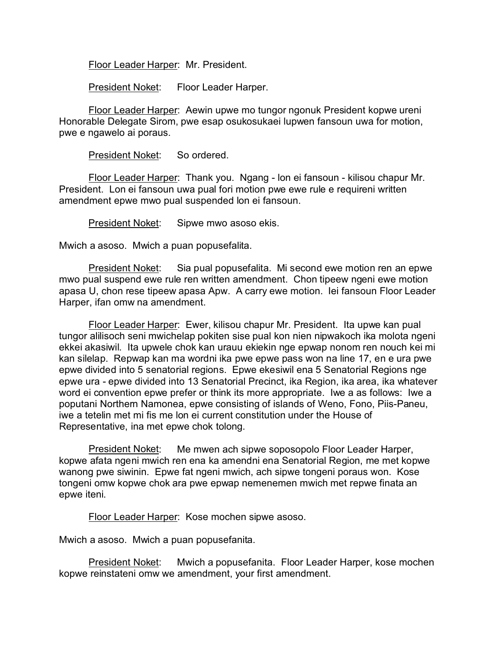Floor Leader Harper: Mr. President.

President Noket: Floor Leader Harper.

Floor Leader Harper: Aewin upwe mo tungor ngonuk President kopwe ureni Honorable Delegate Sirom, pwe esap osukosukaei lupwen fansoun uwa for motion, pwe e ngawelo ai poraus.

President Noket: So ordered.

Floor Leader Harper: Thank you. Ngang - lon ei fansoun - kilisou chapur Mr. President. Lon ei fansoun uwa pual fori motion pwe ewe rule e requireni written amendment epwe mwo pual suspended lon ei fansoun.

President Noket: Sipwe mwo asoso ekis.

Mwich a asoso. Mwich a puan popusefalita.

President Noket: Sia pual popusefalita. Mi second ewe motion ren an epwe mwo pual suspend ewe rule ren written amendment. Chon tipeew ngeni ewe motion apasa U, chon rese tipeew apasa Apw. A carry ewe motion. Iei fansoun Floor Leader Harper, ifan omw na amendment.

Floor Leader Harper: Ewer, kilisou chapur Mr. President. Ita upwe kan pual tungor alilisoch seni mwichelap pokiten sise pual kon nien nipwakoch ika molota ngeni ekkei akasiwil. Ita upwele chok kan urauu ekiekin nge epwap nonom ren nouch kei mi kan silelap. Repwap kan ma wordni ika pwe epwe pass won na line 17, en e ura pwe epwe divided into 5 senatorial regions. Epwe ekesiwil ena 5 Senatorial Regions nge epwe ura - epwe divided into 13 Senatorial Precinct, ika Region, ika area, ika whatever word ei convention epwe prefer or think its more appropriate. Iwe a as follows: Iwe a poputani Northern Namonea, epwe consisting of islands of Weno, Fono, Piis-Paneu, iwe a tetelin met mi fis me lon ei current constitution under the House of Representative, ina met epwe chok tolong.

President Noket: Me mwen ach sipwe soposopolo Floor Leader Harper, kopwe afata ngeni mwich ren ena ka amendni ena Senatorial Region, me met kopwe wanong pwe siwinin. Epwe fat ngeni mwich, ach sipwe tongeni poraus won. Kose tongeni omw kopwe chok ara pwe epwap nemenemen mwich met repwe finata an epwe iteni.

Floor Leader Harper: Kose mochen sipwe asoso.

Mwich a asoso. Mwich a puan popusefanita.

President Noket: Mwich a popusefanita. Floor Leader Harper, kose mochen kopwe reinstateni omw we amendment, your first amendment.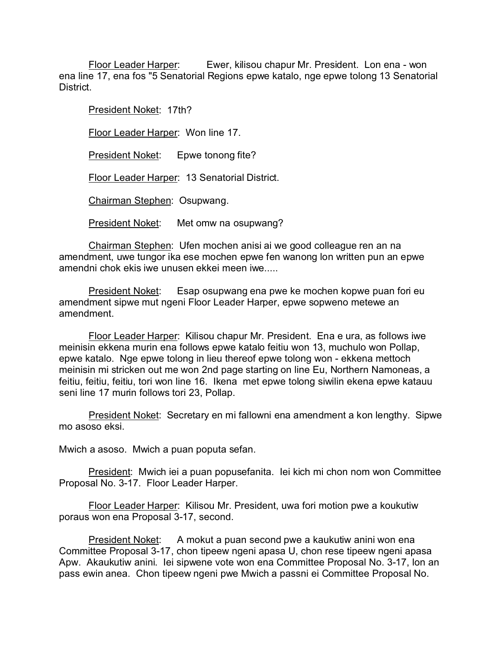Floor Leader Harper: Ewer, kilisou chapur Mr. President. Lon ena - won ena line 17, ena fos "5 Senatorial Regions epwe katalo, nge epwe tolong 13 Senatorial District.

President Noket: 17th? Floor Leader Harper: Won line 17. President Noket: Epwe tonong fite? Floor Leader Harper: 13 Senatorial District. Chairman Stephen: Osupwang. President Noket: Met omw na osupwang?

Chairman Stephen: Ufen mochen anisi ai we good colleague ren an na amendment, uwe tungor ika ese mochen epwe fen wanong lon written pun an epwe amendni chok ekis iwe unusen ekkei meen iwe.....

President Noket: Esap osupwang ena pwe ke mochen kopwe puan fori eu amendment sipwe mut ngeni Floor Leader Harper, epwe sopweno metewe an amendment.

Floor Leader Harper: Kilisou chapur Mr. President. Ena e ura, as follows iwe meinisin ekkena murin ena follows epwe katalo feitiu won 13, muchulo won Pollap, epwe katalo. Nge epwe tolong in lieu thereof epwe tolong won - ekkena mettoch meinisin mi stricken out me won 2nd page starting on line Eu, Northern Namoneas, a feitiu, feitiu, feitiu, tori won line 16. Ikena met epwe tolong siwilin ekena epwe katauu seni line 17 murin follows tori 23, Pollap.

President Noket: Secretary en mi fallowni ena amendment a kon lengthy. Sipwe mo asoso eksi.

Mwich a asoso. Mwich a puan poputa sefan.

President: Mwich iei a puan popusefanita. Iei kich mi chon nom won Committee Proposal No. 3-17. Floor Leader Harper.

Floor Leader Harper: Kilisou Mr. President, uwa fori motion pwe a koukutiw poraus won ena Proposal 3-17, second.

President Noket: A mokut a puan second pwe a kaukutiw anini won ena Committee Proposal 3-17, chon tipeew ngeni apasa U, chon rese tipeew ngeni apasa Apw. Akaukutiw anini. Iei sipwene vote won ena Committee Proposal No. 3-17, lon an pass ewin anea. Chon tipeew ngeni pwe Mwich a passni ei Committee Proposal No.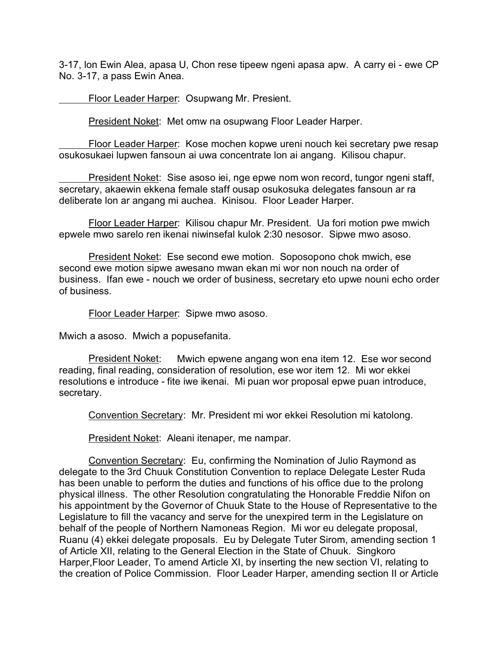3-17, lon Ewin Alea, apasa U, Chon rese tipeew ngeni apasa apw. A carry ei - ewe CP No. 3-17, a pass Ewin Anea.

Floor Leader Harper: Osupwang Mr. Presient.

President Noket: Met omw na osupwang Floor Leader Harper.

Floor Leader Harper: Kose mochen kopwe ureni nouch kei secretary pwe resap osukosukaei lupwen fansoun ai uwa concentrate lon ai angang. Kilisou chapur.

President Noket: Sise asoso iei, nge epwe nom won record, tungor ngeni staff, secretary, akaewin ekkena female staff ousap osukosuka delegates fansoun ar ra deliberate lon ar angang mi auchea. Kinisou. Floor Leader Harper.

Floor Leader Harper: Kilisou chapur Mr. President. Ua fori motion pwe mwich epwele mwo sarelo ren ikenai niwinsefal kulok 2:30 nesosor. Sipwe mwo asoso.

President Noket: Ese second ewe motion. Soposopono chok mwich, ese second ewe motion sipwe awesano mwan ekan mi wor non nouch na order of business. Ifan ewe - nouch we order of business, secretary eto upwe nouni echo order of business.

Floor Leader Harper: Sipwe mwo asoso.

Mwich a asoso. Mwich a popusefanita.

President Noket: Mwich epwene angang won ena item 12. Ese wor second reading, final reading, consideration of resolution, ese wor item 12. Mi wor ekkei resolutions e introduce - fite iwe ikenai. Mi puan wor proposal epwe puan introduce, secretary.

Convention Secretary: Mr. President mi wor ekkei Resolution mi katolong.

President Noket: Aleani itenaper, me nampar.

Convention Secretary: Eu, confirming the Nomination of Julio Raymond as delegate to the 3rd Chuuk Constitution Convention to replace Delegate Lester Ruda has been unable to perform the duties and functions of his office due to the prolong physical illness. The other Resolution congratulating the Honorable Freddie Nifon on his appointment by the Governor of Chuuk State to the House of Representative to the Legislature to fill the vacancy and serve for the unexpired term in the Legislature on behalf of the people of Northern Namoneas Region. Mi wor eu delegate proposal, Ruanu (4) ekkei delegate proposals. Eu by Delegate Tuter Sirom, amending section 1 of Article XII, relating to the General Election in the State of Chuuk. Singkoro Harper,Floor Leader, To amend Article XI, by inserting the new section VI, relating to the creation of Police Commission. Floor Leader Harper, amending section II or Article